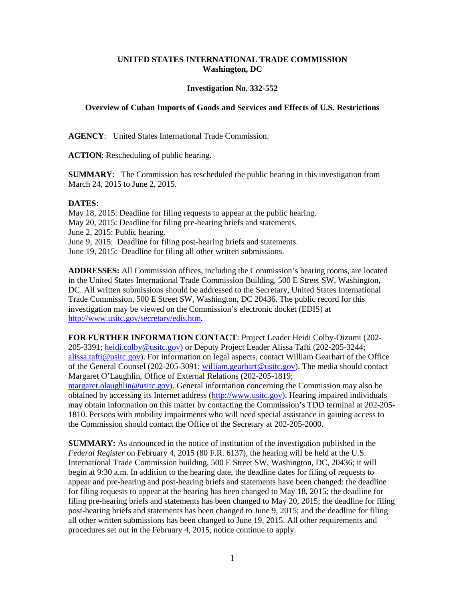## **UNITED STATES INTERNATIONAL TRADE COMMISSION Washington, DC**

## **Investigation No. 332-552**

## **Overview of Cuban Imports of Goods and Services and Effects of U.S. Restrictions**

**AGENCY**: United States International Trade Commission.

**ACTION**: Rescheduling of public hearing.

**SUMMARY**: The Commission has rescheduled the public hearing in this investigation from March 24, 2015 to June 2, 2015.

## **DATES:**

May 18, 2015: Deadline for filing requests to appear at the public hearing. May 20, 2015: Deadline for filing pre-hearing briefs and statements. June 2, 2015: Public hearing. June 9, 2015: Deadline for filing post-hearing briefs and statements. June 19, 2015: Deadline for filing all other written submissions.

**ADDRESSES:** All Commission offices, including the Commission's hearing rooms, are located in the United States International Trade Commission Building, 500 E Street SW, Washington, DC. All written submissions should be addressed to the Secretary, United States International Trade Commission, 500 E Street SW, Washington, DC 20436. The public record for this investigation may be viewed on the Commission's electronic docket (EDIS) at [http://www.usitc.gov/secretary/edis.htm.](https://itcmail2.usitc.gov/owa/redir.aspx?SURL=HLyVTxFDdoZ87Ez8M3ZDDlXumtPasKLpgmtekvgZiaS5Os6vHR_SCGgAdAB0AHAAOgAvAC8AdwB3AHcALgB1AHMAaQB0AGMALgBnAG8AdgAvAHMAZQBjAHIAZQB0AGEAcgB5AC8AZQBkAGkAcwAuAGgAdABtAA..&URL=http%3a%2f%2fwww.usitc.gov%2fsecretary%2fedis.htm)

**FOR FURTHER INFORMATION CONTACT**: Project Leader Heidi Colby-Oizumi (202- 205-3391; [heidi.colby@usitc.gov\)](mailto:heidi.colby@usitc.gov) or Deputy Project Leader Alissa Tafti (202-205-3244; [alissa.tafti@usitc.gov\)](mailto:alissa.tafti@usitc.gov). For information on legal aspects, contact William Gearhart of the Office of the General Counsel (202-205-3091; [william.gearhart@usitc.gov\)](mailto:william.gearhart@usitc.gov). The media should contact Margaret O'Laughlin, Office of External Relations (202-205-1819; margaret.olaughlin@usitc.gov). General information concerning the Commission may also be obtained by accessing its Internet address [\(http://www.usitc.gov\)](http://www.usitc.gov/). Hearing impaired individuals may obtain information on this matter by contacting the Commission's TDD terminal at 202-205- 1810. Persons with mobility impairments who will need special assistance in gaining access to the Commission should contact the Office of the Secretary at 202-205-2000.

**SUMMARY:** As announced in the notice of institution of the investigation published in the *Federal Register* on February 4, 2015 (80 F.R. 6137), the hearing will be held at the U.S. International Trade Commission building, 500 E Street SW, Washington, DC, 20436; it will begin at 9:30 a.m. In addition to the hearing date, the deadline dates for filing of requests to appear and pre-hearing and post-hearing briefs and statements have been changed: the deadline for filing requests to appear at the hearing has been changed to May 18, 2015; the deadline for filing pre-hearing briefs and statements has been changed to May 20, 2015; the deadline for filing post-hearing briefs and statements has been changed to June 9, 2015; and the deadline for filing all other written submissions has been changed to June 19, 2015. All other requirements and procedures set out in the February 4, 2015, notice continue to apply.